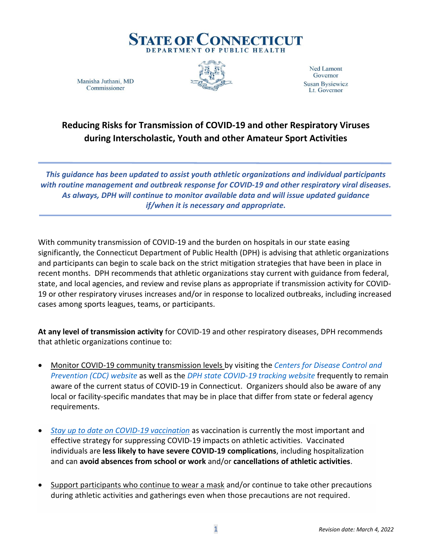

Manisha Juthani, MD Commissioner



Ned Lamont Governor **Susan Bysiewicz** Lt. Governor

## **Reducing Risks for Transmission of COVID-19 and other Respiratory Viruses during Interscholastic, Youth and other Amateur Sport Activities**

*This guidance has been updated to assist youth athletic organizations and individual participants with routine management and outbreak response for COVID-19 and other respiratory viral diseases. As always, DPH will continue to monitor available data and will issue updated guidance if/when it is necessary and appropriate.*

With community transmission of COVID-19 and the burden on hospitals in our state easing significantly, the Connecticut Department of Public Health (DPH) is advising that athletic organizations and participants can begin to scale back on the strict mitigation strategies that have been in place in recent months. DPH recommends that athletic organizations stay current with guidance from federal, state, and local agencies, and review and revise plans as appropriate if transmission activity for COVID-19 or other respiratory viruses increases and/or in response to localized outbreaks, including increased cases among sports leagues, teams, or participants.

**At any level of transmission activity** for COVID-19 and other respiratory diseases, DPH recommends that athletic organizations continue to:

- Monitor COVID-19 community transmission levels by visiting the *[Centers for Disease Control and](https://www.cdc.gov/coronavirus/2019-ncov/science/community-levels.html)  [Prevention \(CDC\) website](https://www.cdc.gov/coronavirus/2019-ncov/science/community-levels.html)* as well as the *[DPH state COVID-19 tracking website](https://portal.ct.gov/coronavirus/covid-19-data-tracker)* frequently to remain aware of the current status of COVID-19 in Connecticut. Organizers should also be aware of any local or facility-specific mandates that may be in place that differ from state or federal agency requirements.
- *[Stay up to date on COVID-19 vaccination](https://www.cdc.gov/coronavirus/2019-ncov/vaccines/How-Do-I-Get-a-COVID-19-Vaccine.html)* as vaccination is currently the most important and effective strategy for suppressing COVID-19 impacts on athletic activities. Vaccinated individuals are **less likely to have severe COVID-19 complications**, including hospitalization and can **avoid absences from school or work** and/or **cancellations of athletic activities**.
- Support participants who continue to wear a mask and/or continue to take other precautions during athletic activities and gatherings even when those precautions are not required.